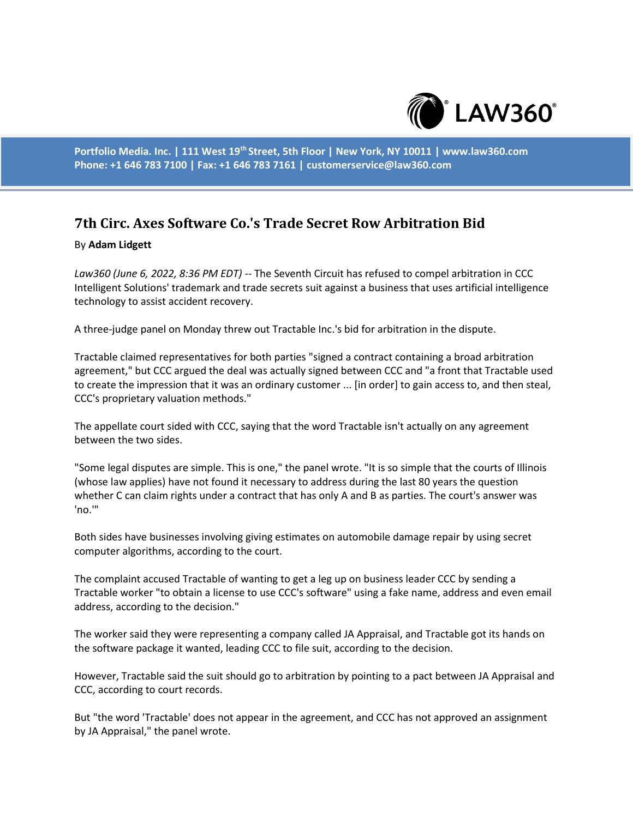

**Portfolio Media. Inc. | 111 West 19th Street, 5th Floor | New York, NY 10011 | www.law360.com Phone: +1 646 783 7100 | Fax: +1 646 783 7161 | customerservice@law360.com**

## **7th Circ. Axes Software Co.'s Trade Secret Row Arbitration Bid**

## By **Adam Lidgett**

*Law360 (June 6, 2022, 8:36 PM EDT)* -- The Seventh Circuit has refused to compel arbitration in CCC Intelligent Solutions' trademark and trade secrets suit against a business that uses artificial intelligence technology to assist accident recovery.

A three-judge panel on Monday threw out Tractable Inc.'s bid for arbitration in the dispute.

Tractable claimed representatives for both parties "signed a contract containing a broad arbitration agreement," but CCC argued the deal was actually signed between CCC and "a front that Tractable used to create the impression that it was an ordinary customer ... [in order] to gain access to, and then steal, CCC's proprietary valuation methods."

The appellate court sided with CCC, saying that the word Tractable isn't actually on any agreement between the two sides.

"Some legal disputes are simple. This is one," the panel wrote. "It is so simple that the courts of Illinois (whose law applies) have not found it necessary to address during the last 80 years the question whether C can claim rights under a contract that has only A and B as parties. The court's answer was 'no.'"

Both sides have businesses involving giving estimates on automobile damage repair by using secret computer algorithms, according to the court.

The complaint accused Tractable of wanting to get a leg up on business leader CCC by sending a Tractable worker "to obtain a license to use CCC's software" using a fake name, address and even email address, according to the decision."

The worker said they were representing a company called JA Appraisal, and Tractable got its hands on the software package it wanted, leading CCC to file suit, according to the decision.

However, Tractable said the suit should go to arbitration by pointing to a pact between JA Appraisal and CCC, according to court records.

But "the word 'Tractable' does not appear in the agreement, and CCC has not approved an assignment by JA Appraisal," the panel wrote.